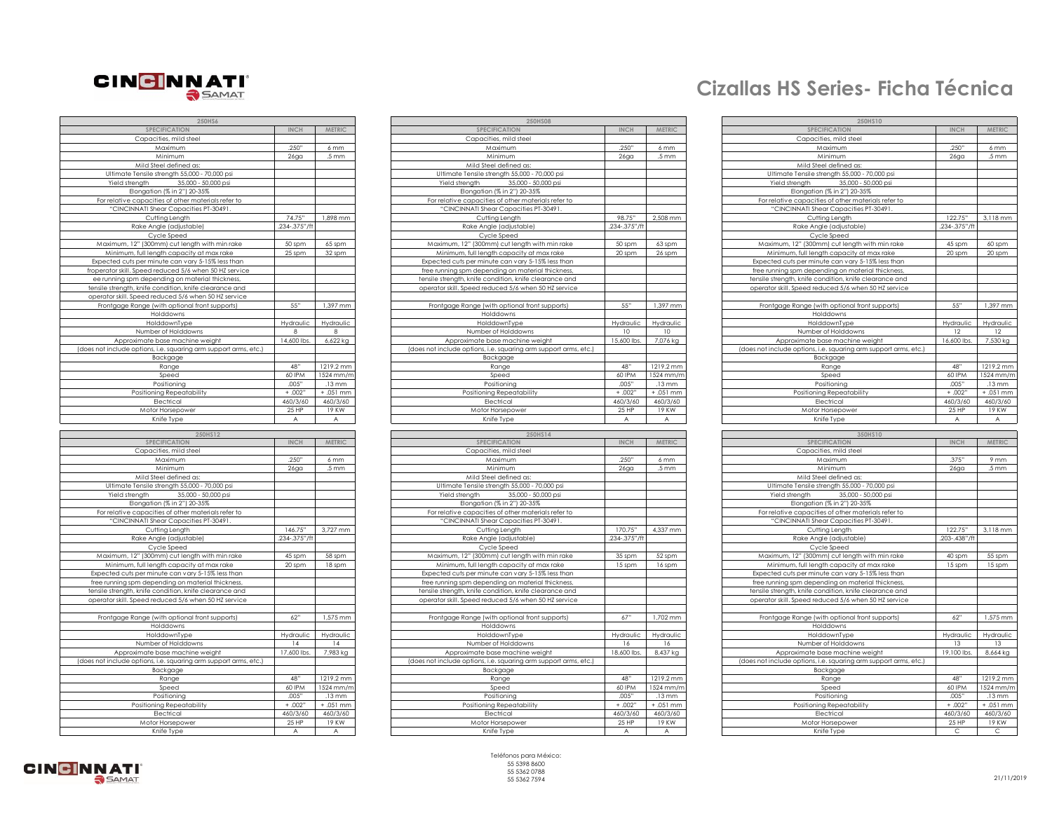

| 250HS6                                                           |                 |                   |
|------------------------------------------------------------------|-----------------|-------------------|
| <b>SPECIFICATION</b>                                             | <b>INCH</b>     | METRIC            |
| Capacities, mild steel                                           |                 |                   |
| Maximum                                                          | 250"            | 6 mm              |
| Minimum                                                          | $26$ ga         | .5 <sub>mm</sub>  |
| Mild Steel defined as:                                           |                 |                   |
| Ultimate Tensile strength 55,000 - 70,000 psi                    |                 |                   |
| Yield strength                                                   |                 |                   |
| 35,000 - 50,000 psi                                              |                 |                   |
| Elongation (% in 2") 20-35%                                      |                 |                   |
| For relative capacities of other materials refer to              |                 |                   |
| "CINCINNATI Shear Capacities PT-30491.                           |                 |                   |
| Cutting Length                                                   | 74.75"          | 1,898 mm          |
| Rake Angle (adjustable)                                          | 234-.375"/ft    |                   |
| Cycle Speed                                                      |                 |                   |
| Maximum, 12" (300mm) cut length with min rake                    | 50 spm          | 65 spm            |
| Minimum, full length capacity at max rake                        | 25 spm          | 32 spm            |
| Expected cuts per minute can vary 5-15% less than                |                 |                   |
| froperator skill. Speed reduced 5/6 when 50 HZ service           |                 |                   |
|                                                                  |                 |                   |
| ee running spm depending on material thickness,                  |                 |                   |
| tensile strength, knife condition, knife clearance and           |                 |                   |
| operator skill. Speed reduced 5/6 when 50 HZ service             |                 |                   |
| Frontgage Range (with optional front supports)                   | 55"             | 1,397 mm          |
| Holddowns                                                        |                 |                   |
| HolddownType                                                     | Hydraulic       | Hydraulic         |
| Number of Holddowns                                              | 8               |                   |
| Approximate base machine weight                                  | 14,600 lbs      | 6,622 kg          |
| (does not include options, i.e. squaring arm support arms, etc.) |                 |                   |
| Backgage                                                         |                 |                   |
| Range                                                            | 48"             | 1219.2 mm         |
|                                                                  | 60 IPM          |                   |
| Speed                                                            |                 | 1524 mm/m         |
| Positioning                                                      | .005"           | 13 mm             |
| Positioning Repeatability                                        | $+ .002"$       | $+ .051$ mm       |
| Electrical                                                       | 460/3/60        | 460/3/60          |
| Motor Horsepower                                                 | 25 HP           | 19KW              |
| Knife Type                                                       | A               | A                 |
|                                                                  |                 |                   |
| 250HS12                                                          |                 |                   |
| SPECIFICATION                                                    | <b>INCH</b>     | METRIC            |
| Capacities, mild steel                                           |                 |                   |
| Maximum                                                          | 250"            | 6 mm              |
| Minimum                                                          |                 |                   |
|                                                                  | $26$ ga         | .5 <sub>mm</sub>  |
| Mild Steel defined as:                                           |                 |                   |
|                                                                  |                 |                   |
| Ultimate Tensile strength 55,000 - 70,000 psi                    |                 |                   |
| 35,000 - 50,000 psi<br>Yield strength                            |                 |                   |
| Elongation (% in 2") 20-35%                                      |                 |                   |
| For relative capacities of other materials refer to              |                 |                   |
| "CINCINNATI Shear Capacities PT-30491.                           |                 |                   |
| Cutting Length                                                   | 146.75"         | 3,727 mm          |
| Rake Angle (adjustable)                                          | 234-.375"/ft    |                   |
| Cycle Speed                                                      |                 |                   |
| Maximum, 12" (300mm) cut length with min rake                    | 45 spm          | 58 spm            |
| Minimum, full length capacity at max rake                        | 20 spm          | 18 spm            |
| Expected cuts per minute can vary 5-15% less than                |                 |                   |
|                                                                  |                 |                   |
| free running spm depending on material thickness,                |                 |                   |
| tensile strength, knife condition, knife clearance and           |                 |                   |
| operator skill. Speed reduced 5/6 when 50 HZ service             |                 |                   |
|                                                                  |                 |                   |
| Frontgage Range (with optional front supports)                   | 62"             | 1,575 mm          |
| Holddowns                                                        |                 |                   |
| HolddownType                                                     | Hydraulic       | Hydraulic         |
| Number of Holddowns                                              | $\overline{14}$ | 4                 |
| Approximate base machine weight                                  | 17,600 lbs      | 7,983 kg          |
| (does not include options, i.e. squaring arm support arms, etc.) |                 |                   |
| Backgage                                                         |                 |                   |
| Range                                                            | 48"             | 1219.2 mm         |
| Speed                                                            | 60 IPM          | 1524 mm/m         |
|                                                                  | .005"           | $13 \, \text{mm}$ |
| Positioning                                                      |                 |                   |
| Positioning Repeatability                                        | $+ .002"$       | + .051 mm         |
| Electrical                                                       | 460/3/60        | 460/3/60          |
| Motor Horsepower<br>Knife Type                                   | 25 HP<br>A      | 19 KW             |

| 250HS6                                                           |                  |                    | 250HS08                                                          |                  |                    | 250HS10                                                          |                |                    |
|------------------------------------------------------------------|------------------|--------------------|------------------------------------------------------------------|------------------|--------------------|------------------------------------------------------------------|----------------|--------------------|
| SPECIFICATION                                                    | <b>INCH</b>      | <b>METRIC</b>      | SPECIFICATION                                                    | <b>INCH</b>      | <b>METRIC</b>      | SPECIFICATION                                                    | <b>INCH</b>    | METRIC             |
|                                                                  |                  |                    |                                                                  |                  |                    |                                                                  |                |                    |
| Capacities, mild steel                                           |                  |                    | Capacities, mild steel                                           |                  |                    | Capacities, mild steel                                           |                |                    |
| Maximum                                                          | .250"            | 6 mm               | Maximum                                                          | .250"            | 6 mm               | Maximum                                                          | .250"          | 6 mm               |
| Minimum                                                          | $26g$ a          | .5 <sub>mm</sub>   | Minimum                                                          | $26$ ga          | .5 <sub>mm</sub>   | Minimum                                                          | $26g$ a        | .5 <sub>mm</sub>   |
| Mild Steel defined as:                                           |                  |                    | Mild Steel defined as:                                           |                  |                    | Mild Steel defined as:                                           |                |                    |
| Ultimate Tensile strength 55,000 - 70,000 psi                    |                  |                    | Ultimate Tensile strength 55,000 - 70,000 psi                    |                  |                    | Ultimate Tensile strength 55,000 - 70,000 psi                    |                |                    |
| Yield strenath<br>35.000 - 50.000 psi                            |                  |                    | Yield strenath<br>35.000 - 50.000 psi                            |                  |                    | Yield strength<br>35,000 - 50,000 psi                            |                |                    |
| Elongation (% in 2") 20-35%                                      |                  |                    | Elongation (% in 2") 20-35%                                      |                  |                    | Elongation (% in 2") 20-35%                                      |                |                    |
| For relative capacities of other materials refer to              |                  |                    | For relative capacities of other materials refer to              |                  |                    | For relative capacities of other materials refer to              |                |                    |
|                                                                  |                  |                    |                                                                  |                  |                    |                                                                  |                |                    |
| "CINCINNATI Shear Capacities PT-30491.                           |                  |                    | "CINCINNATI Shear Capacities PT-30491.                           |                  |                    | "CINCINNATI Shear Capacities PT-30491.                           |                |                    |
| Cutting Length                                                   | 74.75"           | 1.898 mm           | Cutting Length                                                   | 98.75"           | 2.508 mm           | Cutting Length                                                   | 122.75"        | 3.118 mr           |
| Rake Angle (adjustable)                                          | 234-.375"/       |                    | Rake Angle (adjustable)                                          | .234-.375"       |                    | Rake Angle (adjustable)                                          | .234-.375"/    |                    |
| Cycle Speed                                                      |                  |                    | Cycle Speed                                                      |                  |                    | Cycle Speed                                                      |                |                    |
| Maximum, 12" (300mm) cut length with min rake                    | 50 spm           | 65 spm             | Maximum, 12" (300mm) cut length with min rake                    | 50 spm           | 63 spm             | Maximum, 12" (300mm) cut length with min rake                    | 45 spm         | 60 spm             |
| Minimum, full length capacity at max rake                        | 25 spm           | 32 spm             | Minimum, full length capacity at max rake                        | 20 spm           | 26 spm             | Minimum, full length capacity at max rake                        | 20 spm         | 20 spm             |
| Expected cuts per minute can vary 5-15% less than                |                  |                    | Expected cuts per minute can vary 5-15% less than                |                  |                    | Expected cuts per minute can vary 5-15% less than                |                |                    |
| froperator skill. Speed reduced 5/6 when 50 HZ service           |                  |                    | free running spm depending on material thickness,                |                  |                    | free running spm depending on material thickness,                |                |                    |
|                                                                  |                  |                    | tensile strength, knife condition, knife clearance and           |                  |                    | tensile strength, knife condition, knife clearance and           |                |                    |
| ee running spm depending on material thickness,                  |                  |                    |                                                                  |                  |                    |                                                                  |                |                    |
| tensile strength, knife condition, knife clearance and           |                  |                    | operator skill. Speed reduced 5/6 when 50 HZ service             |                  |                    | operator skill. Speed reduced 5/6 when 50 HZ service             |                |                    |
| operator skill. Speed reduced 5/6 when 50 HZ service             |                  |                    |                                                                  |                  |                    |                                                                  |                |                    |
| Frontgage Range (with optional front supports)                   | 55"              | 1,397 mm           | Frontgage Range (with optional front supports)                   | 55"              | 1,397 mm           | Frontgage Range (with optional front supports)                   | 55"            | 1,397 m            |
| Holddowns                                                        |                  |                    | Holddowns                                                        |                  |                    | Holddowns                                                        |                |                    |
| HolddownTvpe                                                     | Hydraulic        | Hydraulic          | HolddownTvpe                                                     | Hydraulic        | Hydraulic          | HolddownTvpe                                                     | Hydraulic      | Hydrauli           |
| Number of Holddowns                                              | 8                |                    | Number of Holddowns                                              | 10               | 10                 | Number of Holddowns                                              | 12             | 12                 |
| Approximate base machine weight                                  | 14,600 lbs.      | 6,622 kg           | Approximate base machine weight                                  | 15,600 lbs.      | 7,076 kg           | Approximate base machine weight                                  | 16,600 lbs.    | 7,530 kg           |
| (does not include options, i.e. squaring arm support arms, etc.) |                  |                    | (does not include options, i.e. squaring arm support arms, etc.) |                  |                    | (does not include options, i.e. squaring arm support arms, etc.) |                |                    |
|                                                                  |                  |                    |                                                                  |                  |                    |                                                                  |                |                    |
| Backgage                                                         |                  |                    | Backgage                                                         |                  |                    | Backgage                                                         |                |                    |
| Range                                                            | 48"              | 1219.2 mm          | Range                                                            | 48"              | 1219.2 mm          | Range                                                            | 48"            | 1219.2 m           |
| Speed                                                            | 60 IPM           | 1524 mm/r          | Speed                                                            | 60 IPM           | 1524 mm/n          | Speed                                                            | 60 IPM         | 1524 mm            |
| Positioning                                                      | .005"            | $.13 \, \text{mm}$ | Positioning                                                      | .005"            | .13 mm             | Positioning                                                      | .005"          | .13mm              |
| Positioning Repeatability                                        | $+ .002"$        | $+051$ mm          | Positioning Repeatability                                        | $+.002"$         | $+051$ mm          | Positioning Repeatability                                        | $+ .002"$      | $+ .051 m$         |
| Electrical                                                       | 460/3/60         | 460/3/60           | Electrical                                                       | 460/3/60         | 460/3/60           | Electrical                                                       | 460/3/60       | 460/3/6            |
| Motor Horsepower                                                 | 25HP             | 19 KW              | Motor Horsepower                                                 | 25HP             | 19 KW              | Motor Horsepower                                                 | 25 HP          | <b>19 KW</b>       |
| Knife Type                                                       | $\overline{A}$   | $\overline{A}$     | Knife Type                                                       | $\overline{A}$   | $\overline{A}$     | Knife Type                                                       | $\overline{A}$ | A                  |
|                                                                  |                  |                    |                                                                  |                  |                    |                                                                  |                |                    |
|                                                                  |                  |                    | 250HS14                                                          |                  |                    | 350HS10                                                          |                |                    |
| 250HS12                                                          |                  |                    |                                                                  |                  |                    |                                                                  |                |                    |
| <b>SPECIFICATION</b>                                             | <b>INCH</b>      | <b>METRIC</b>      | SPECIFIC ATION                                                   | <b>INCH</b>      | <b>METRIC</b>      | SPECIFIC ATION                                                   | <b>INCH</b>    | <b>METRIC</b>      |
|                                                                  |                  |                    |                                                                  |                  |                    |                                                                  |                |                    |
| Capacities, mild steel                                           |                  |                    | Capacities, mild steel                                           |                  |                    | Capacities, mild steel                                           |                |                    |
| Maximum                                                          | .250"            | 6 mm               | Maximum                                                          | .250"            | 6 mm               | Maximum                                                          | .375"          | 9 mm               |
| Minimum                                                          | 26g <sub>a</sub> | .5 <sub>mm</sub>   | Minimum                                                          | 26g <sub>G</sub> | .5 <sub>mm</sub>   | Minimum                                                          | $26g$ a        | $.5 \, \text{mm}$  |
| Mild Steel defined as:                                           |                  |                    | Mild Steel defined as:                                           |                  |                    | Mild Steel defined as:                                           |                |                    |
| Ultimate Tensile strength 55,000 - 70,000 psi                    |                  |                    | Ultimate Tensile strength 55,000 - 70,000 psi                    |                  |                    | Ultimate Tensile strength 55,000 - 70,000 psi                    |                |                    |
| Yield strenath<br>35.000 - 50.000 psi                            |                  |                    | Yield strength<br>35.000 - 50.000 psi                            |                  |                    | Yield strength<br>35,000 - 50,000 psi                            |                |                    |
| Elongation (% in 2") 20-35%                                      |                  |                    | Elongation (% in 2") 20-35%                                      |                  |                    | Elongation (% in 2") 20-35%                                      |                |                    |
| For relative capacities of other materials refer to              |                  |                    | For relative capacities of other materials refer to              |                  |                    | For relative capacities of other materials refer to              |                |                    |
| "CINCINNATI Shear Capacities PT-30491.                           |                  |                    | "CINCINNATI Shear Capacities PT-30491.                           |                  |                    | "CINCINNATI Shear Capacities PT-30491.                           |                |                    |
|                                                                  |                  |                    |                                                                  |                  |                    |                                                                  |                |                    |
| Cutting Length                                                   | 146.75"          | 3,727 mm           | Cutting Length                                                   | 170.75"          | 4,337 mm           | Cutting Length                                                   | 122.75"        | 3,118 mr           |
| Rake Anale (adjustable)                                          | $.234 - .375"$   |                    | Rake Anale (adjustable)                                          | 234-.375"/       |                    | Rake Anale (adiustable)                                          | 203-.438"/     |                    |
| Cycle Speed                                                      |                  |                    | Cycle Speed                                                      |                  |                    | Cycle Speed                                                      |                |                    |
| Maximum, 12" (300mm) cut length with min rake                    | 45 spm           | 58 spm             | Maximum, 12" (300mm) cut length with min rake                    | 35 spm           | 52 spm             | Maximum, 12" (300mm) cut length with min rake                    | 40 spm         | 55 spm             |
| Minimum, full length capacity at max rake                        | 20 spm           | 18 spm             | Minimum, full length capacity at max rake                        | 15 spm           | 16 spm             | Minimum, full length capacity at max rake                        | 15 spm         | 15 spm             |
| Expected cuts per minute can vary 5-15% less than                |                  |                    | Expected cuts per minute can vary 5-15% less than                |                  |                    | Expected cuts per minute can vary 5-15% less than                |                |                    |
| free running spm depending on material thickness,                |                  |                    | free running spm depending on material thickness,                |                  |                    | free running spm depending on material thickness,                |                |                    |
| tensile strength, knife condition, knife clearance and           |                  |                    | tensile strength, knife condition, knife clearance and           |                  |                    | tensile strength, knife condition, knife clearance and           |                |                    |
| operator skill. Speed reduced 5/6 when 50 HZ service             |                  |                    | operator skill. Speed reduced 5/6 when 50 HZ service             |                  |                    | operator skill. Speed reduced 5/6 when 50 HZ service             |                |                    |
|                                                                  |                  |                    |                                                                  |                  |                    |                                                                  |                |                    |
|                                                                  |                  |                    |                                                                  |                  |                    |                                                                  |                |                    |
| Frontgage Range (with optional front supports)                   | 62"              | 1.575 mm           | Frontgage Range (with optional front supports)                   | 67"              | 1.702 mm           | Frontgage Range (with optional front supports)                   | 62"            | $1.575$ m          |
| Holddowns                                                        |                  |                    | Holddowns                                                        |                  |                    | Holddowns                                                        |                |                    |
| HolddownType                                                     | Hydraulic        | Hydraulic          | HolddownType                                                     | Hydraulic        | Hydraulic          | HolddownType                                                     | Hydraulic      | Hydrauli           |
| Number of Holddowns                                              | 14               | 14                 | Number of Holddowns                                              | 16               | 16                 | Number of Holddowns                                              | 13             | 13                 |
| Approximate base machine weight                                  | 17,600 lbs.      | 7,983 kg           | Approximate base machine weight                                  | 18,600 lbs       | 8,437 kg           | Approximate base machine weight                                  | 19.100 lbs.    | 8,664 kg           |
| (does not include options, i.e. squaring arm support arms, etc.) |                  |                    | (does not include options, i.e. squaring arm support arms, etc.) |                  |                    | (does not include options, i.e. squaring arm support arms, etc.) |                |                    |
| Backgage                                                         |                  |                    | Backgage                                                         |                  |                    | Backgage                                                         |                |                    |
| Range                                                            | 48"              | 1219.2 mm          | Range                                                            | 48"              | 1219.2 mm          | Range                                                            | 48"            | 1219.2 m           |
|                                                                  | 60 IPM           | 1524 mm/r          |                                                                  | 60 IPM           | 1524 mm/n          |                                                                  | 60 IPM         | 1524 mm.           |
| Speed                                                            |                  |                    | Speed                                                            |                  |                    | Speed                                                            |                |                    |
| Positionina                                                      | .005"            | $.13 \, \text{mm}$ | Positioning                                                      | .005"            | $.13 \, \text{mm}$ | Positioning                                                      | .005"          | $.13 \, \text{mm}$ |
| Positioning Repeatability                                        | $+ .002"$        | $+ .051$ mm        | Positioning Repeatability                                        | $+ .002"$        | + .051 mm          | Positioning Repeatability                                        | $+.002$ '      | $+ .051 m$         |
| Electrical                                                       | 460/3/60         | 460/3/60           | Electrical                                                       | 460/3/60         | 460/3/60           | Electrical                                                       | 460/3/60       | 460/3/6            |
| Motor Horsepower                                                 | $25$ HP          | 19 KW              | Motor Horsepower                                                 | 25HP             | 19 KW              | Motor Horsepower                                                 | $25$ HP        | 19 KW              |
| Knife Type                                                       | A                | A                  | Knife Type                                                       | A                | A                  | Knife Type                                                       | $\subset$      | $\mathsf{C}$       |

## **Cizallas HS Series- Ficha Técnica**

| 250HS6                                                                                                                                                                                                                                                |                |                    | 250HS08                                                          |                  |                    | 250HS10                                                          |              |                             |
|-------------------------------------------------------------------------------------------------------------------------------------------------------------------------------------------------------------------------------------------------------|----------------|--------------------|------------------------------------------------------------------|------------------|--------------------|------------------------------------------------------------------|--------------|-----------------------------|
| <b>SPECIFICATION</b>                                                                                                                                                                                                                                  | <b>INCH</b>    | <b>METRIC</b>      | <b>SPECIFICATION</b>                                             | <b>INCH</b>      | <b>METRIC</b>      | <b>SPECIFICATION</b>                                             | <b>INCH</b>  | <b>METRIC</b>               |
| Capacities, mild steel                                                                                                                                                                                                                                |                |                    | Capacities, mild steel                                           |                  |                    | Capacities, mild steel                                           |              |                             |
|                                                                                                                                                                                                                                                       |                |                    |                                                                  |                  |                    |                                                                  |              |                             |
| Maximum                                                                                                                                                                                                                                               | .250"          | 6 mm               | Maximum                                                          | .250"            | 6 mm               | Maximum                                                          | .250"        | 6 mm                        |
| Minimum                                                                                                                                                                                                                                               | $26g$ a        | .5 <sub>mm</sub>   | Minimum                                                          | $26g$ a          | .5 <sub>mm</sub>   | Minimum                                                          | $26g$ a      | .5 <sub>mm</sub>            |
| Mild Steel defined as:                                                                                                                                                                                                                                |                |                    | Mild Steel defined as                                            |                  |                    | Mild Steel defined as:                                           |              |                             |
| Ultimate Tensile strength 55,000 - 70,000 psi                                                                                                                                                                                                         |                |                    | Ultimate Tensile strength 55,000 - 70,000 psi                    |                  |                    | Ultimate Tensile strength 55,000 - 70,000 psi                    |              |                             |
| 35,000 - 50,000 psi<br>Yield strength                                                                                                                                                                                                                 |                |                    | 35,000 - 50,000 psi<br>Yield strength                            |                  |                    | Yield strength<br>35,000 - 50,000 psi                            |              |                             |
| Elongation (% in 2") 20-35%                                                                                                                                                                                                                           |                |                    | Elongation (% in 2") 20-35%                                      |                  |                    | Elongation (% in 2") 20-35%                                      |              |                             |
| or relative capacities of other materials refer to                                                                                                                                                                                                    |                |                    | For relative capacities of other materials refer to              |                  |                    | For relative capacities of other materials refer to              |              |                             |
| "CINCINNATI Shear Capacities PT-30491                                                                                                                                                                                                                 |                |                    | 'CINCINNATI Shear Capacities PT-30491                            |                  |                    | "CINCINNATI Shear Capacities PT-30491                            |              |                             |
|                                                                                                                                                                                                                                                       |                |                    |                                                                  | 98.75"           |                    |                                                                  |              |                             |
| Cutting Length                                                                                                                                                                                                                                        | 74.75"         | 1,898 mm           | Cutting Length                                                   |                  | 2,508 mm           | Cutting Length                                                   | 122.75"      | 3,118 mm                    |
| Rake Angle (adjustable)                                                                                                                                                                                                                               | 234-.375"/f    |                    | Rake Angle (adjustable)                                          | .234-.375"/f     |                    | Rake Angle (adjustable)                                          | .234-.375"/f |                             |
| Cycle Speed                                                                                                                                                                                                                                           |                |                    | Cycle Speed                                                      |                  |                    | Cycle Speed                                                      |              |                             |
| Maximum, 12" (300mm) cut length with min rake                                                                                                                                                                                                         | 50 spm         | 65 spm             | Maximum, 12" (300mm) cut length with min rake                    | 50 spm           | 63 spm             | Maximum, 12" (300mm) cut length with min rake                    | 45 spm       | 60 spm                      |
| Minimum, full length capacity at max rake                                                                                                                                                                                                             | 25 spm         | 32 spm             | Minimum, full length capacity at max rake                        | 20 spm           | 26 spm             | Minimum, full length capacity at max rake                        | 20 spm       | 20 spm                      |
| pected cuts per minute can vary 5-15% less than                                                                                                                                                                                                       |                |                    | Expected cuts per minute can vary 5-15% less than                |                  |                    | Expected cuts per minute can vary 5-15% less than                |              |                             |
| erator skill. Speed reduced 5/6 when 50 HZ service                                                                                                                                                                                                    |                |                    | free running spm depending on material thickness                 |                  |                    | free running spm depending on material thickness                 |              |                             |
| e running spm depending on material thickness                                                                                                                                                                                                         |                |                    | tensile strenath, knife condition, knife clearance and           |                  |                    | tensile strenath, knife condition, knife clearance and           |              |                             |
| sile strength, knife condition, knife clearance and                                                                                                                                                                                                   |                |                    | operator skill. Speed reduced 5/6 when 50 HZ service             |                  |                    |                                                                  |              |                             |
|                                                                                                                                                                                                                                                       |                |                    |                                                                  |                  |                    | operator skill. Speed reduced 5/6 when 50 HZ service             |              |                             |
| erator skill. Speed reduced 5/6 when 50 HZ service                                                                                                                                                                                                    |                |                    |                                                                  |                  |                    |                                                                  |              |                             |
| Frontgage Range (with optional front supports)                                                                                                                                                                                                        | 55"            | 1,397 mm           | Frontgage Range (with optional front supports)                   | 55"              | 1,397 mm           | Frontgage Range (with optional front supports)                   | 55"          | 1,397 mm                    |
| Holddowns                                                                                                                                                                                                                                             |                |                    | Holddowns                                                        |                  |                    | Holddowns                                                        |              |                             |
| HolddownType                                                                                                                                                                                                                                          | Hydraulic      | Hydraulic          | HolddownType                                                     | Hydraulic        | Hydraulic          | HolddownType                                                     | Hydraulic    | Hydraulic                   |
| Number of Holddowns                                                                                                                                                                                                                                   | 8              | 8                  | Number of Holddowns                                              | 10               | 10 <sup>10</sup>   | Number of Holddowns                                              | 12           | 12                          |
| Approximate base machine weight                                                                                                                                                                                                                       | 14,600 lbs     | 6.622 kg           | Approximate base machine weight                                  | 15,600 lbs       | 7.076 kg           | Approximate base machine weight                                  | 16,600 lbs   | 7.530 kg                    |
| ot include options, i.e. squaring arm support arms, etc.                                                                                                                                                                                              |                |                    | (does not include options, i.e. squaring arm support arms, etc.) |                  |                    | (does not include options, i.e. squaring arm support arms, etc.) |              |                             |
| Backgage                                                                                                                                                                                                                                              |                |                    | Backgage                                                         |                  |                    | Backgage                                                         |              |                             |
| Range                                                                                                                                                                                                                                                 | 48"            | 1219.2 mm          | Range                                                            | 48"              | 1219.2 mm          | Range                                                            | 48"          | 1219.2 mm                   |
| Speed                                                                                                                                                                                                                                                 | 60 IPM         | 1524 mm/n          | Speed                                                            | 60 IPM           | 1524 mm/r          | Speed                                                            | 60 IPM       | 1524 mm/m                   |
| Positioning                                                                                                                                                                                                                                           | .005"          | $.13 \text{ mm}$   | Positioning                                                      | .005"            | $.13 \, \text{mm}$ | Positioning                                                      | .005"        | $.13 \, \text{mm}$          |
|                                                                                                                                                                                                                                                       |                |                    |                                                                  |                  |                    |                                                                  |              |                             |
| Positioning Repeatability                                                                                                                                                                                                                             | $+ .002"$      | + .051 mm          | Positioning Repeatability                                        | $+ .002"$        | +.051 mm           | Positioning Repeatability                                        | $+ .002"$    | $+ .051$ mm                 |
| Electrical                                                                                                                                                                                                                                            | 460/3/60       | 460/3/60           | Electrical                                                       | 460/3/60         | 460/3/60           | Electrical                                                       | 460/3/60     | 460/3/60                    |
| Motor Horsepower                                                                                                                                                                                                                                      | 25 HP          | 19 KW              | Motor Horsepower                                                 | 25 HP            | 19 KW              | Motor Horsepower                                                 | 25 HP        | 19 KW                       |
| Knife Type                                                                                                                                                                                                                                            | $\overline{A}$ | $\overline{A}$     | Knife Type                                                       |                  | $\overline{A}$     | Knife Type                                                       |              | A                           |
|                                                                                                                                                                                                                                                       |                |                    |                                                                  |                  |                    |                                                                  |              |                             |
| 250HS12                                                                                                                                                                                                                                               |                |                    | 250HS14                                                          |                  |                    | 350HS10                                                          |              |                             |
| <b>SPECIFICATION</b>                                                                                                                                                                                                                                  | <b>INCH</b>    | <b>METRIC</b>      | <b>SPECIFICATION</b>                                             | <b>INCH</b>      | <b>METRIC</b>      | <b>SPECIFICATION</b>                                             | <b>INCH</b>  | <b>METRIC</b>               |
| Capacities, mild steel                                                                                                                                                                                                                                |                |                    | Capacities, mild steel                                           |                  |                    | Capacities, mild steel                                           |              |                             |
| Maximum                                                                                                                                                                                                                                               | .250"          | 6 mm               | Maximum                                                          | .250"            | 6 mm               | Maximum                                                          | .375"        | 9 mm                        |
| Minimum                                                                                                                                                                                                                                               | $26g$ a        | .5 <sub>mm</sub>   | Minimum                                                          | 26g <sub>G</sub> | .5 <sub>mm</sub>   | Minimum                                                          | $26g$ a      | .5 <sub>mm</sub>            |
| Mild Steel defined as:                                                                                                                                                                                                                                |                |                    | Mild Steel defined as:                                           |                  |                    | Mild Steel defined as:                                           |              |                             |
| Ultimate Tensile strength 55,000 - 70,000 psi                                                                                                                                                                                                         |                |                    |                                                                  |                  |                    |                                                                  |              |                             |
|                                                                                                                                                                                                                                                       |                |                    |                                                                  |                  |                    |                                                                  |              |                             |
|                                                                                                                                                                                                                                                       |                |                    | Ultimate Tensile strength 55,000 - 70,000 psi                    |                  |                    | Ultimate Tensile strength 55,000 - 70,000 psi                    |              |                             |
| 35,000 - 50,000 psi<br>Yield strength                                                                                                                                                                                                                 |                |                    | Yield strength<br>35,000 - 50,000 psi                            |                  |                    | Yield strength<br>35,000 - 50,000 psi                            |              |                             |
| Elongation (% in 2") 20-35%                                                                                                                                                                                                                           |                |                    | Elongation (% in 2") 20-35%                                      |                  |                    | Elongation (% in 2") 20-35%                                      |              |                             |
|                                                                                                                                                                                                                                                       |                |                    | For relative capacities of other materials refer to              |                  |                    | For relative capacities of other materials refer to              |              |                             |
| "CINCINNATI Shear Capacities PT-30491                                                                                                                                                                                                                 |                |                    | 'CINCINNATI Shear Capacities PT-30491                            |                  |                    | "CINCINNATI Shear Capacities PT-30491                            |              |                             |
| Cutting Length                                                                                                                                                                                                                                        | 146.75"        | 3,727 mm           | Cutting Length                                                   | 170.75"          | 4,337 mm           | Cutting Length                                                   | 122.75"      | 3,118 mm                    |
| Rake Angle (adjustable)                                                                                                                                                                                                                               | 234-.375"/f    |                    | Rake Angle (adjustable)                                          | $.234 - .375"$   |                    | Rake Angle (adjustable)                                          | .203-.438"/f |                             |
| Cycle Speed                                                                                                                                                                                                                                           |                |                    | Cycle Speed                                                      |                  |                    | Cycle Speed                                                      |              |                             |
|                                                                                                                                                                                                                                                       | 45 spm         | 58 spm             | Maximum, 12" (300mm) cut length with min rake                    | 35 spm           | 52 spm             | Maximum, 12" (300mm) cut length with min rake                    | 40 spm       | 55 spm                      |
|                                                                                                                                                                                                                                                       |                |                    |                                                                  |                  |                    |                                                                  |              |                             |
| or relative capacities of other materials refer to<br>Maximum, 12" (300mm) cut length with min rake<br>Minimum, full length capacity at max rake                                                                                                      | 20 spm         | 18 spm             | Minimum, full length capacity at max rake                        | 15 spm           | 16 spm             | Minimum, full length capacity at max rake                        | 15 spm       | 15 spm                      |
|                                                                                                                                                                                                                                                       |                |                    | Expected cuts per minute can vary 5-15% less than                |                  |                    | Expected cuts per minute can vary 5-15% less than                |              |                             |
| pected cuts per minute can vary 5-15% less than<br>e running spm depending on material thickness                                                                                                                                                      |                |                    | free running spm depending on material thickness                 |                  |                    | free running spm depending on material thickness                 |              |                             |
|                                                                                                                                                                                                                                                       |                |                    | tensile strength, knife condition, knife clearance and           |                  |                    | tensile strength, knife condition, knife clearance and           |              |                             |
|                                                                                                                                                                                                                                                       |                |                    | operator skill. Speed reduced 5/6 when 50 HZ service             |                  |                    | operator skill. Speed reduced 5/6 when 50 HZ service             |              |                             |
|                                                                                                                                                                                                                                                       |                |                    |                                                                  |                  |                    |                                                                  |              |                             |
|                                                                                                                                                                                                                                                       | 62"            | 1,575 mm           | Frontgage Range (with optional front supports)                   | 67"              | 1,702 mm           | Frontgage Range (with optional front supports)                   | 62"          | 1,575 mm                    |
| Holddowns                                                                                                                                                                                                                                             |                |                    | Holddowns                                                        |                  |                    | Holddowns                                                        |              |                             |
| HolddownType                                                                                                                                                                                                                                          | Hydraulic      | Hydraulic          | HolddownType                                                     | Hydraulic        | Hydraulic          | HolddownType                                                     | Hydraulic    | Hydraulic                   |
| Number of Holddowns                                                                                                                                                                                                                                   | 14             | 14                 | Number of Holddowns                                              | 16               | 16                 | Number of Holddowns                                              | 13           | 13                          |
| Approximate base machine weight                                                                                                                                                                                                                       | 17.600 lbs     | 7.983 kg           | Approximate base machine weight                                  | 18,600 lbs       | 8.437 kg           | Approximate base machine weight                                  | 19.100 lbs   | 8.664 kg                    |
|                                                                                                                                                                                                                                                       |                |                    |                                                                  |                  |                    | (does not include options, i.e. squaring arm support arms, etc.) |              |                             |
|                                                                                                                                                                                                                                                       |                |                    | (does not include options, i.e. squaring arm support arms, etc.) |                  |                    |                                                                  |              |                             |
| Backgage                                                                                                                                                                                                                                              | 48"            | 1219.2 mm          | Backgage                                                         | 48"              | 1219.2 mm          | Backgage                                                         | 48"          | 1219.2 mm                   |
| Range                                                                                                                                                                                                                                                 |                |                    | Range                                                            |                  |                    | Range                                                            |              |                             |
| Speed                                                                                                                                                                                                                                                 | 60 IPM         | 1524 mm/n          | Speed                                                            | 60 IPM           | 1524 mm/r          | Speed                                                            | 60 IPM       | 1524 mm/n                   |
| Positioning                                                                                                                                                                                                                                           | .005"          | $.13 \, \text{mm}$ | Positioning                                                      | .005"            | $.13 \, \text{mm}$ | Positioning                                                      | .005"        | $\overline{.}13 \text{ mm}$ |
| sile strength, knife condition, knife clearance and<br>erator skill. Speed reduced 5/6 when 50 HZ service<br>Frontgage Range (with optional front supports)<br>ot include options, i.e. squaring arm support arms, etc.)<br>Positioning Repeatability | $+ .002"$      | $+.051$ mm         | Positioning Repeatability                                        | $+.002"$         | + .051 mm          | Positioning Repeatability                                        | $+ .002"$    | $+ .051$ mm                 |
| Electrical                                                                                                                                                                                                                                            | 460/3/60       | 460/3/60           | Electrical                                                       | 460/3/60         | 460/3/60           | Electrical                                                       | 460/3/60     | 460/3/60                    |
| Motor Horsepower<br><b>Visites True</b>                                                                                                                                                                                                               | 25 HP          | 19 KW              | Motor Horsepower                                                 | 25 HP            | 19 KW              | Motor Horsepower                                                 | 25 HP        | 19 KW                       |